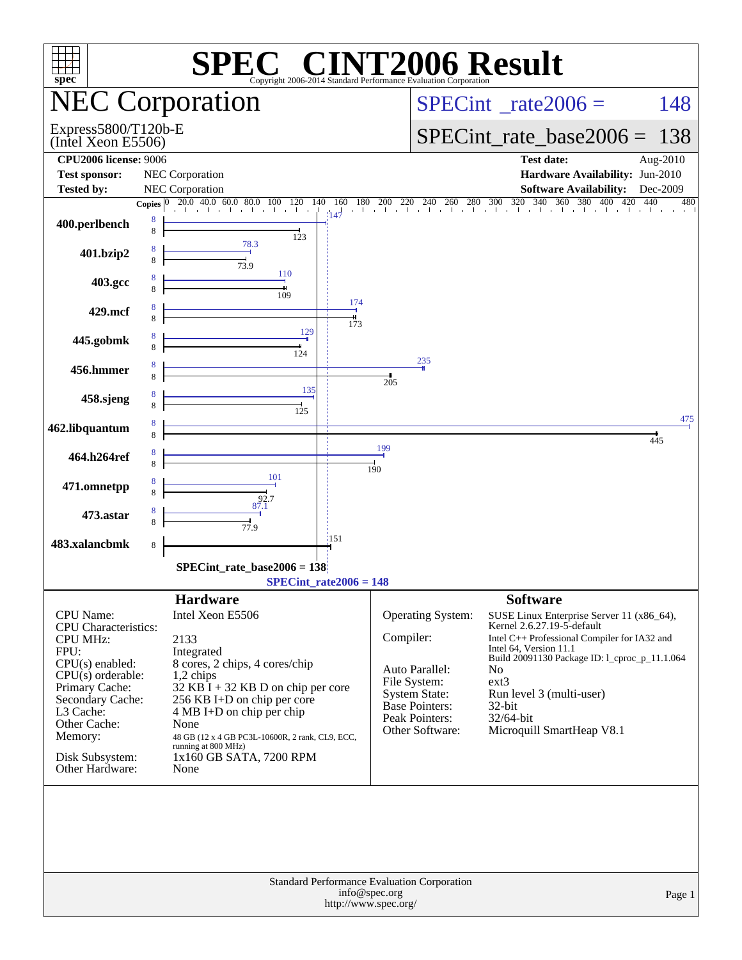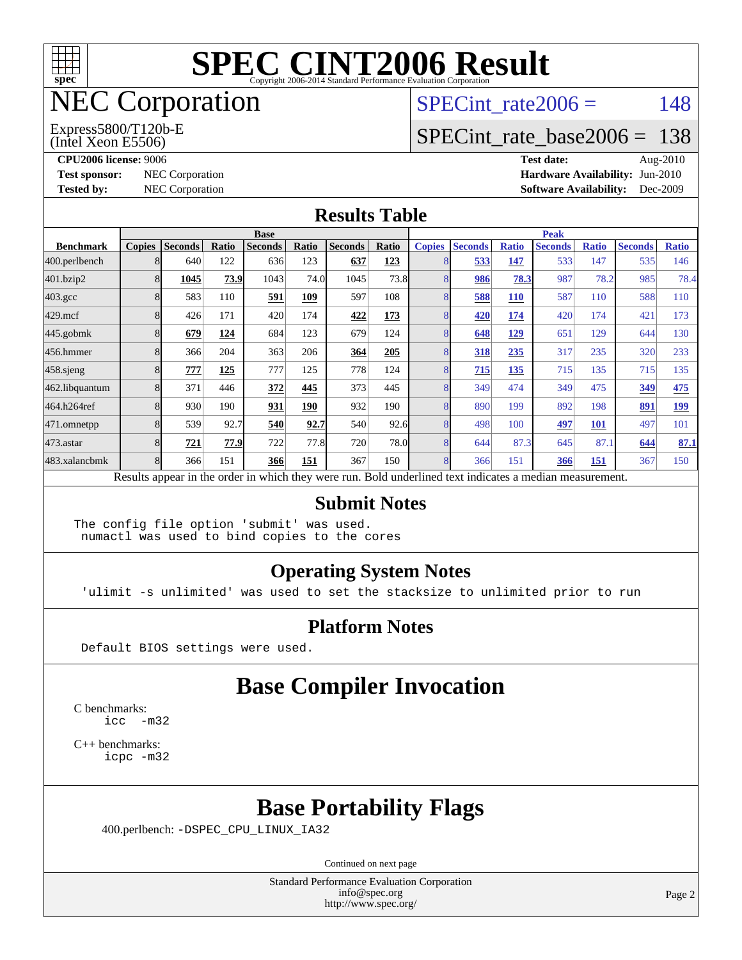

## NEC Corporation

(Intel Xeon E5506) Express5800/T120b-E SPECint rate $2006 = 148$ 

#### [SPECint\\_rate\\_base2006 =](http://www.spec.org/auto/cpu2006/Docs/result-fields.html#SPECintratebase2006) 138

**[CPU2006 license:](http://www.spec.org/auto/cpu2006/Docs/result-fields.html#CPU2006license)** 9006 **[Test date:](http://www.spec.org/auto/cpu2006/Docs/result-fields.html#Testdate)** Aug-2010 **[Test sponsor:](http://www.spec.org/auto/cpu2006/Docs/result-fields.html#Testsponsor)** NEC Corporation **[Hardware Availability:](http://www.spec.org/auto/cpu2006/Docs/result-fields.html#HardwareAvailability)** Jun-2010 **[Tested by:](http://www.spec.org/auto/cpu2006/Docs/result-fields.html#Testedby)** NEC Corporation **[Software Availability:](http://www.spec.org/auto/cpu2006/Docs/result-fields.html#SoftwareAvailability)** Dec-2009

#### **[Results Table](http://www.spec.org/auto/cpu2006/Docs/result-fields.html#ResultsTable)**

|                    | <b>Base</b>   |                |       |                |       |                                                                                                          |       | <b>Peak</b>   |                |              |                |              |                |              |
|--------------------|---------------|----------------|-------|----------------|-------|----------------------------------------------------------------------------------------------------------|-------|---------------|----------------|--------------|----------------|--------------|----------------|--------------|
| <b>Benchmark</b>   | <b>Copies</b> | <b>Seconds</b> | Ratio | <b>Seconds</b> | Ratio | <b>Seconds</b>                                                                                           | Ratio | <b>Copies</b> | <b>Seconds</b> | <b>Ratio</b> | <b>Seconds</b> | <b>Ratio</b> | <b>Seconds</b> | <b>Ratio</b> |
| 400.perlbench      |               | 640            | 122   | 636            | 123   | 637                                                                                                      | 123   | 8             | 533            | 147          | 533            | 147          | 535            | 146          |
| 401.bzip2          | 8             | 1045           | 73.9  | 1043           | 74.0  | 1045                                                                                                     | 73.8  | 8             | 986            | 78.3         | 987            | 78.2         | 985            | 78.4         |
| $403.\mathrm{gcc}$ | 8             | 583            | 110   | 591            | 109   | 597                                                                                                      | 108   |               | 588            | <b>110</b>   | 587            | 110          | 588            | 110          |
| $429$ .mcf         | 8             | 426            | 171   | 420            | 174   | 422                                                                                                      | 173   | 8             | 420            | 174          | 420            | 174          | 421            | 173          |
| $445$ .gobmk       |               | 679            | 124   | 684            | 123   | 679                                                                                                      | 124   | 8             | 648            | <u>129</u>   | 651            | 129          | 644            | 130          |
| 456.hmmer          |               | 366            | 204   | 363            | 206   | 364                                                                                                      | 205   |               | 318            | 235          | 317            | 235          | 320            | 233          |
| $458$ .sjeng       | 8             | 777            | 125   | 777            | 125   | 778                                                                                                      | 124   | 8             | 715            | 135          | 715            | 135          | 715            | 135          |
| 462.libquantum     |               | 371            | 446   | 372            | 445   | 373                                                                                                      | 445   | 8             | 349            | 474          | 349            | 475          | 349            | 475          |
| 464.h264ref        |               | 930            | 190   | 931            | 190   | 932                                                                                                      | 190   | 8             | 890            | 199          | 892            | 198          | 891            | <u>199</u>   |
| 471.omnetpp        | 8             | 539            | 92.7  | 540            | 92.7  | 540                                                                                                      | 92.6  | 8             | 498            | 100          | 497            | <b>101</b>   | 497            | 101          |
| $473$ . astar      |               | 721            | 77.9  | 722            | 77.8  | 720                                                                                                      | 78.0  | 8             | 644            | 87.3         | 645            | 87.1         | 644            | 87.1         |
| 483.xalancbmk      | 8             | 366            | 151   | 366            | 151   | 367                                                                                                      | 150   | 8             | 366            | 151          | 366            | 151          | 367            | 150          |
|                    |               |                |       |                |       | Results appear in the order in which they were run. Bold underlined text indicates a median measurement. |       |               |                |              |                |              |                |              |

#### **[Submit Notes](http://www.spec.org/auto/cpu2006/Docs/result-fields.html#SubmitNotes)**

The config file option 'submit' was used. numactl was used to bind copies to the cores

#### **[Operating System Notes](http://www.spec.org/auto/cpu2006/Docs/result-fields.html#OperatingSystemNotes)**

'ulimit -s unlimited' was used to set the stacksize to unlimited prior to run

#### **[Platform Notes](http://www.spec.org/auto/cpu2006/Docs/result-fields.html#PlatformNotes)**

Default BIOS settings were used.

### **[Base Compiler Invocation](http://www.spec.org/auto/cpu2006/Docs/result-fields.html#BaseCompilerInvocation)**

[C benchmarks](http://www.spec.org/auto/cpu2006/Docs/result-fields.html#Cbenchmarks): [icc -m32](http://www.spec.org/cpu2006/results/res2010q3/cpu2006-20100829-13105.flags.html#user_CCbase_intel_icc_32bit_5ff4a39e364c98233615fdd38438c6f2)

[C++ benchmarks:](http://www.spec.org/auto/cpu2006/Docs/result-fields.html#CXXbenchmarks) [icpc -m32](http://www.spec.org/cpu2006/results/res2010q3/cpu2006-20100829-13105.flags.html#user_CXXbase_intel_icpc_32bit_4e5a5ef1a53fd332b3c49e69c3330699)

### **[Base Portability Flags](http://www.spec.org/auto/cpu2006/Docs/result-fields.html#BasePortabilityFlags)**

400.perlbench: [-DSPEC\\_CPU\\_LINUX\\_IA32](http://www.spec.org/cpu2006/results/res2010q3/cpu2006-20100829-13105.flags.html#b400.perlbench_baseCPORTABILITY_DSPEC_CPU_LINUX_IA32)

Continued on next page

Standard Performance Evaluation Corporation [info@spec.org](mailto:info@spec.org) <http://www.spec.org/>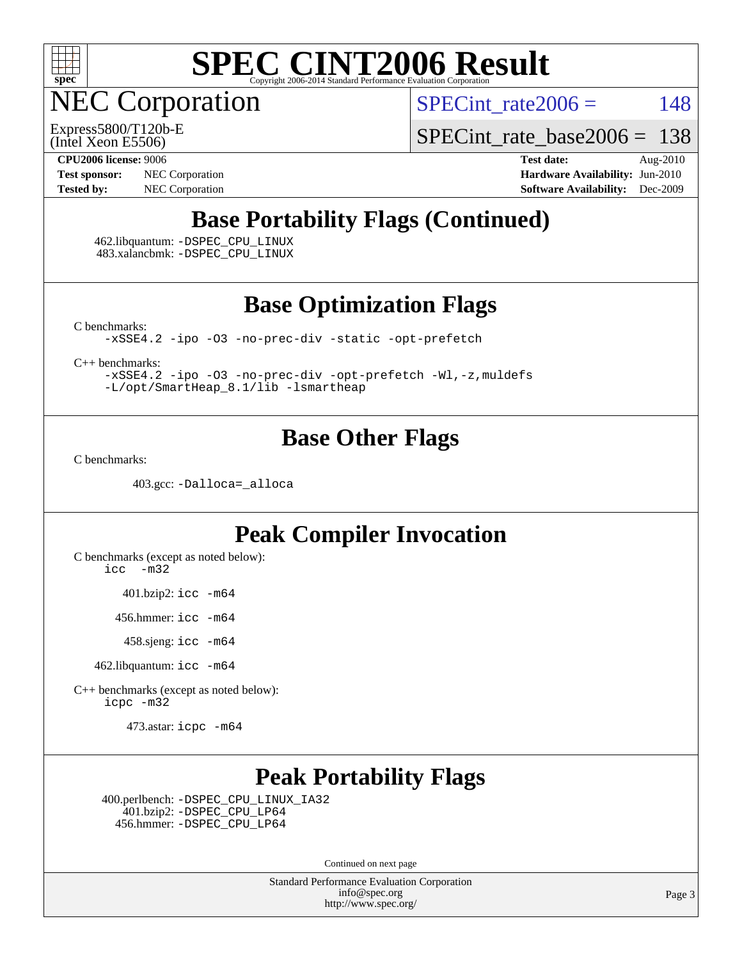

NEC Corporation

SPECint rate $2006 = 148$ 

(Intel Xeon E5506) Express5800/T120b-E

SPECint rate base  $2006 = 138$ 

**[Test sponsor:](http://www.spec.org/auto/cpu2006/Docs/result-fields.html#Testsponsor)** NEC Corporation **[Hardware Availability:](http://www.spec.org/auto/cpu2006/Docs/result-fields.html#HardwareAvailability)** Jun-2010

**[CPU2006 license:](http://www.spec.org/auto/cpu2006/Docs/result-fields.html#CPU2006license)** 9006 **[Test date:](http://www.spec.org/auto/cpu2006/Docs/result-fields.html#Testdate)** Aug-2010 **[Tested by:](http://www.spec.org/auto/cpu2006/Docs/result-fields.html#Testedby)** NEC Corporation **[Software Availability:](http://www.spec.org/auto/cpu2006/Docs/result-fields.html#SoftwareAvailability)** Dec-2009

### **[Base Portability Flags \(Continued\)](http://www.spec.org/auto/cpu2006/Docs/result-fields.html#BasePortabilityFlags)**

 462.libquantum: [-DSPEC\\_CPU\\_LINUX](http://www.spec.org/cpu2006/results/res2010q3/cpu2006-20100829-13105.flags.html#b462.libquantum_baseCPORTABILITY_DSPEC_CPU_LINUX) 483.xalancbmk: [-DSPEC\\_CPU\\_LINUX](http://www.spec.org/cpu2006/results/res2010q3/cpu2006-20100829-13105.flags.html#b483.xalancbmk_baseCXXPORTABILITY_DSPEC_CPU_LINUX)

**[Base Optimization Flags](http://www.spec.org/auto/cpu2006/Docs/result-fields.html#BaseOptimizationFlags)**

[C benchmarks](http://www.spec.org/auto/cpu2006/Docs/result-fields.html#Cbenchmarks):

[-xSSE4.2](http://www.spec.org/cpu2006/results/res2010q3/cpu2006-20100829-13105.flags.html#user_CCbase_f-xSSE42_f91528193cf0b216347adb8b939d4107) [-ipo](http://www.spec.org/cpu2006/results/res2010q3/cpu2006-20100829-13105.flags.html#user_CCbase_f-ipo) [-O3](http://www.spec.org/cpu2006/results/res2010q3/cpu2006-20100829-13105.flags.html#user_CCbase_f-O3) [-no-prec-div](http://www.spec.org/cpu2006/results/res2010q3/cpu2006-20100829-13105.flags.html#user_CCbase_f-no-prec-div) [-static](http://www.spec.org/cpu2006/results/res2010q3/cpu2006-20100829-13105.flags.html#user_CCbase_f-static) [-opt-prefetch](http://www.spec.org/cpu2006/results/res2010q3/cpu2006-20100829-13105.flags.html#user_CCbase_f-opt-prefetch)

[C++ benchmarks:](http://www.spec.org/auto/cpu2006/Docs/result-fields.html#CXXbenchmarks)

[-xSSE4.2](http://www.spec.org/cpu2006/results/res2010q3/cpu2006-20100829-13105.flags.html#user_CXXbase_f-xSSE42_f91528193cf0b216347adb8b939d4107) [-ipo](http://www.spec.org/cpu2006/results/res2010q3/cpu2006-20100829-13105.flags.html#user_CXXbase_f-ipo) [-O3](http://www.spec.org/cpu2006/results/res2010q3/cpu2006-20100829-13105.flags.html#user_CXXbase_f-O3) [-no-prec-div](http://www.spec.org/cpu2006/results/res2010q3/cpu2006-20100829-13105.flags.html#user_CXXbase_f-no-prec-div) [-opt-prefetch](http://www.spec.org/cpu2006/results/res2010q3/cpu2006-20100829-13105.flags.html#user_CXXbase_f-opt-prefetch) [-Wl,-z,muldefs](http://www.spec.org/cpu2006/results/res2010q3/cpu2006-20100829-13105.flags.html#user_CXXbase_link_force_multiple1_74079c344b956b9658436fd1b6dd3a8a) [-L/opt/SmartHeap\\_8.1/lib -lsmartheap](http://www.spec.org/cpu2006/results/res2010q3/cpu2006-20100829-13105.flags.html#user_CXXbase_SmartHeap_d5ba4dfc9de25d3c657c7de7476e66c5)

#### **[Base Other Flags](http://www.spec.org/auto/cpu2006/Docs/result-fields.html#BaseOtherFlags)**

[C benchmarks](http://www.spec.org/auto/cpu2006/Docs/result-fields.html#Cbenchmarks):

403.gcc: [-Dalloca=\\_alloca](http://www.spec.org/cpu2006/results/res2010q3/cpu2006-20100829-13105.flags.html#b403.gcc_baseEXTRA_CFLAGS_Dalloca_be3056838c12de2578596ca5467af7f3)

### **[Peak Compiler Invocation](http://www.spec.org/auto/cpu2006/Docs/result-fields.html#PeakCompilerInvocation)**

[C benchmarks \(except as noted below\)](http://www.spec.org/auto/cpu2006/Docs/result-fields.html#Cbenchmarksexceptasnotedbelow): [icc -m32](http://www.spec.org/cpu2006/results/res2010q3/cpu2006-20100829-13105.flags.html#user_CCpeak_intel_icc_32bit_5ff4a39e364c98233615fdd38438c6f2)

401.bzip2: [icc -m64](http://www.spec.org/cpu2006/results/res2010q3/cpu2006-20100829-13105.flags.html#user_peakCCLD401_bzip2_intel_icc_64bit_bda6cc9af1fdbb0edc3795bac97ada53)

456.hmmer: [icc -m64](http://www.spec.org/cpu2006/results/res2010q3/cpu2006-20100829-13105.flags.html#user_peakCCLD456_hmmer_intel_icc_64bit_bda6cc9af1fdbb0edc3795bac97ada53)

458.sjeng: [icc -m64](http://www.spec.org/cpu2006/results/res2010q3/cpu2006-20100829-13105.flags.html#user_peakCCLD458_sjeng_intel_icc_64bit_bda6cc9af1fdbb0edc3795bac97ada53)

462.libquantum: [icc -m64](http://www.spec.org/cpu2006/results/res2010q3/cpu2006-20100829-13105.flags.html#user_peakCCLD462_libquantum_intel_icc_64bit_bda6cc9af1fdbb0edc3795bac97ada53)

[C++ benchmarks \(except as noted below\):](http://www.spec.org/auto/cpu2006/Docs/result-fields.html#CXXbenchmarksexceptasnotedbelow) [icpc -m32](http://www.spec.org/cpu2006/results/res2010q3/cpu2006-20100829-13105.flags.html#user_CXXpeak_intel_icpc_32bit_4e5a5ef1a53fd332b3c49e69c3330699)

473.astar: [icpc -m64](http://www.spec.org/cpu2006/results/res2010q3/cpu2006-20100829-13105.flags.html#user_peakCXXLD473_astar_intel_icpc_64bit_fc66a5337ce925472a5c54ad6a0de310)

## **[Peak Portability Flags](http://www.spec.org/auto/cpu2006/Docs/result-fields.html#PeakPortabilityFlags)**

 400.perlbench: [-DSPEC\\_CPU\\_LINUX\\_IA32](http://www.spec.org/cpu2006/results/res2010q3/cpu2006-20100829-13105.flags.html#b400.perlbench_peakCPORTABILITY_DSPEC_CPU_LINUX_IA32) 401.bzip2: [-DSPEC\\_CPU\\_LP64](http://www.spec.org/cpu2006/results/res2010q3/cpu2006-20100829-13105.flags.html#suite_peakCPORTABILITY401_bzip2_DSPEC_CPU_LP64) 456.hmmer: [-DSPEC\\_CPU\\_LP64](http://www.spec.org/cpu2006/results/res2010q3/cpu2006-20100829-13105.flags.html#suite_peakCPORTABILITY456_hmmer_DSPEC_CPU_LP64)

Continued on next page

Standard Performance Evaluation Corporation [info@spec.org](mailto:info@spec.org) <http://www.spec.org/>

Page 3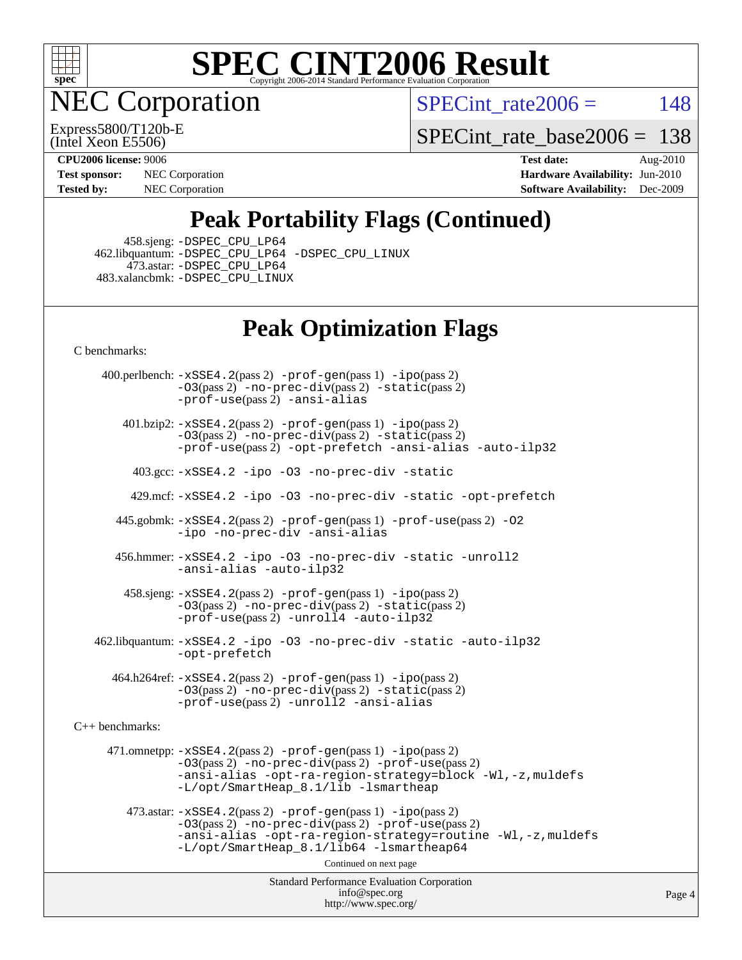

**EC Corporation** 

Express5800/T120b-E

SPECint rate $2006 = 148$ 

[SPECint\\_rate\\_base2006 =](http://www.spec.org/auto/cpu2006/Docs/result-fields.html#SPECintratebase2006) 138

(Intel Xeon E5506)

**[Test sponsor:](http://www.spec.org/auto/cpu2006/Docs/result-fields.html#Testsponsor)** NEC Corporation **[Hardware Availability:](http://www.spec.org/auto/cpu2006/Docs/result-fields.html#HardwareAvailability)** Jun-2010

**[CPU2006 license:](http://www.spec.org/auto/cpu2006/Docs/result-fields.html#CPU2006license)** 9006 **[Test date:](http://www.spec.org/auto/cpu2006/Docs/result-fields.html#Testdate)** Aug-2010 **[Tested by:](http://www.spec.org/auto/cpu2006/Docs/result-fields.html#Testedby)** NEC Corporation **[Software Availability:](http://www.spec.org/auto/cpu2006/Docs/result-fields.html#SoftwareAvailability)** Dec-2009

## **[Peak Portability Flags \(Continued\)](http://www.spec.org/auto/cpu2006/Docs/result-fields.html#PeakPortabilityFlags)**

458.sjeng: [-DSPEC\\_CPU\\_LP64](http://www.spec.org/cpu2006/results/res2010q3/cpu2006-20100829-13105.flags.html#suite_peakCPORTABILITY458_sjeng_DSPEC_CPU_LP64)

 462.libquantum: [-DSPEC\\_CPU\\_LP64](http://www.spec.org/cpu2006/results/res2010q3/cpu2006-20100829-13105.flags.html#suite_peakCPORTABILITY462_libquantum_DSPEC_CPU_LP64) [-DSPEC\\_CPU\\_LINUX](http://www.spec.org/cpu2006/results/res2010q3/cpu2006-20100829-13105.flags.html#b462.libquantum_peakCPORTABILITY_DSPEC_CPU_LINUX) 473.astar: [-DSPEC\\_CPU\\_LP64](http://www.spec.org/cpu2006/results/res2010q3/cpu2006-20100829-13105.flags.html#suite_peakCXXPORTABILITY473_astar_DSPEC_CPU_LP64) 483.xalancbmk: [-DSPEC\\_CPU\\_LINUX](http://www.spec.org/cpu2006/results/res2010q3/cpu2006-20100829-13105.flags.html#b483.xalancbmk_peakCXXPORTABILITY_DSPEC_CPU_LINUX)

### **[Peak Optimization Flags](http://www.spec.org/auto/cpu2006/Docs/result-fields.html#PeakOptimizationFlags)**

[C benchmarks](http://www.spec.org/auto/cpu2006/Docs/result-fields.html#Cbenchmarks):

 400.perlbench: [-xSSE4.2](http://www.spec.org/cpu2006/results/res2010q3/cpu2006-20100829-13105.flags.html#user_peakPASS2_CFLAGSPASS2_LDCFLAGS400_perlbench_f-xSSE42_f91528193cf0b216347adb8b939d4107)(pass 2) [-prof-gen](http://www.spec.org/cpu2006/results/res2010q3/cpu2006-20100829-13105.flags.html#user_peakPASS1_CFLAGSPASS1_LDCFLAGS400_perlbench_prof_gen_e43856698f6ca7b7e442dfd80e94a8fc)(pass 1) [-ipo](http://www.spec.org/cpu2006/results/res2010q3/cpu2006-20100829-13105.flags.html#user_peakPASS2_CFLAGSPASS2_LDCFLAGS400_perlbench_f-ipo)(pass 2) [-O3](http://www.spec.org/cpu2006/results/res2010q3/cpu2006-20100829-13105.flags.html#user_peakPASS2_CFLAGSPASS2_LDCFLAGS400_perlbench_f-O3)(pass 2) [-no-prec-div](http://www.spec.org/cpu2006/results/res2010q3/cpu2006-20100829-13105.flags.html#user_peakPASS2_CFLAGSPASS2_LDCFLAGS400_perlbench_f-no-prec-div)(pass 2) [-static](http://www.spec.org/cpu2006/results/res2010q3/cpu2006-20100829-13105.flags.html#user_peakPASS2_CFLAGSPASS2_LDCFLAGS400_perlbench_f-static)(pass 2) [-prof-use](http://www.spec.org/cpu2006/results/res2010q3/cpu2006-20100829-13105.flags.html#user_peakPASS2_CFLAGSPASS2_LDCFLAGS400_perlbench_prof_use_bccf7792157ff70d64e32fe3e1250b55)(pass 2) [-ansi-alias](http://www.spec.org/cpu2006/results/res2010q3/cpu2006-20100829-13105.flags.html#user_peakCOPTIMIZE400_perlbench_f-ansi-alias)

 401.bzip2: [-xSSE4.2](http://www.spec.org/cpu2006/results/res2010q3/cpu2006-20100829-13105.flags.html#user_peakPASS2_CFLAGSPASS2_LDCFLAGS401_bzip2_f-xSSE42_f91528193cf0b216347adb8b939d4107)(pass 2) [-prof-gen](http://www.spec.org/cpu2006/results/res2010q3/cpu2006-20100829-13105.flags.html#user_peakPASS1_CFLAGSPASS1_LDCFLAGS401_bzip2_prof_gen_e43856698f6ca7b7e442dfd80e94a8fc)(pass 1) [-ipo](http://www.spec.org/cpu2006/results/res2010q3/cpu2006-20100829-13105.flags.html#user_peakPASS2_CFLAGSPASS2_LDCFLAGS401_bzip2_f-ipo)(pass 2) [-O3](http://www.spec.org/cpu2006/results/res2010q3/cpu2006-20100829-13105.flags.html#user_peakPASS2_CFLAGSPASS2_LDCFLAGS401_bzip2_f-O3)(pass 2) [-no-prec-div](http://www.spec.org/cpu2006/results/res2010q3/cpu2006-20100829-13105.flags.html#user_peakPASS2_CFLAGSPASS2_LDCFLAGS401_bzip2_f-no-prec-div)(pass 2) [-static](http://www.spec.org/cpu2006/results/res2010q3/cpu2006-20100829-13105.flags.html#user_peakPASS2_CFLAGSPASS2_LDCFLAGS401_bzip2_f-static)(pass 2) [-prof-use](http://www.spec.org/cpu2006/results/res2010q3/cpu2006-20100829-13105.flags.html#user_peakPASS2_CFLAGSPASS2_LDCFLAGS401_bzip2_prof_use_bccf7792157ff70d64e32fe3e1250b55)(pass 2) [-opt-prefetch](http://www.spec.org/cpu2006/results/res2010q3/cpu2006-20100829-13105.flags.html#user_peakCOPTIMIZE401_bzip2_f-opt-prefetch) [-ansi-alias](http://www.spec.org/cpu2006/results/res2010q3/cpu2006-20100829-13105.flags.html#user_peakCOPTIMIZE401_bzip2_f-ansi-alias) [-auto-ilp32](http://www.spec.org/cpu2006/results/res2010q3/cpu2006-20100829-13105.flags.html#user_peakCOPTIMIZE401_bzip2_f-auto-ilp32)

403.gcc: [-xSSE4.2](http://www.spec.org/cpu2006/results/res2010q3/cpu2006-20100829-13105.flags.html#user_peakCOPTIMIZE403_gcc_f-xSSE42_f91528193cf0b216347adb8b939d4107) [-ipo](http://www.spec.org/cpu2006/results/res2010q3/cpu2006-20100829-13105.flags.html#user_peakCOPTIMIZE403_gcc_f-ipo) [-O3](http://www.spec.org/cpu2006/results/res2010q3/cpu2006-20100829-13105.flags.html#user_peakCOPTIMIZE403_gcc_f-O3) [-no-prec-div](http://www.spec.org/cpu2006/results/res2010q3/cpu2006-20100829-13105.flags.html#user_peakCOPTIMIZE403_gcc_f-no-prec-div) [-static](http://www.spec.org/cpu2006/results/res2010q3/cpu2006-20100829-13105.flags.html#user_peakCOPTIMIZE403_gcc_f-static)

429.mcf: [-xSSE4.2](http://www.spec.org/cpu2006/results/res2010q3/cpu2006-20100829-13105.flags.html#user_peakCOPTIMIZE429_mcf_f-xSSE42_f91528193cf0b216347adb8b939d4107) [-ipo](http://www.spec.org/cpu2006/results/res2010q3/cpu2006-20100829-13105.flags.html#user_peakCOPTIMIZE429_mcf_f-ipo) [-O3](http://www.spec.org/cpu2006/results/res2010q3/cpu2006-20100829-13105.flags.html#user_peakCOPTIMIZE429_mcf_f-O3) [-no-prec-div](http://www.spec.org/cpu2006/results/res2010q3/cpu2006-20100829-13105.flags.html#user_peakCOPTIMIZE429_mcf_f-no-prec-div) [-static](http://www.spec.org/cpu2006/results/res2010q3/cpu2006-20100829-13105.flags.html#user_peakCOPTIMIZE429_mcf_f-static) [-opt-prefetch](http://www.spec.org/cpu2006/results/res2010q3/cpu2006-20100829-13105.flags.html#user_peakCOPTIMIZE429_mcf_f-opt-prefetch)

 445.gobmk: [-xSSE4.2](http://www.spec.org/cpu2006/results/res2010q3/cpu2006-20100829-13105.flags.html#user_peakPASS2_CFLAGSPASS2_LDCFLAGS445_gobmk_f-xSSE42_f91528193cf0b216347adb8b939d4107)(pass 2) [-prof-gen](http://www.spec.org/cpu2006/results/res2010q3/cpu2006-20100829-13105.flags.html#user_peakPASS1_CFLAGSPASS1_LDCFLAGS445_gobmk_prof_gen_e43856698f6ca7b7e442dfd80e94a8fc)(pass 1) [-prof-use](http://www.spec.org/cpu2006/results/res2010q3/cpu2006-20100829-13105.flags.html#user_peakPASS2_CFLAGSPASS2_LDCFLAGS445_gobmk_prof_use_bccf7792157ff70d64e32fe3e1250b55)(pass 2) [-O2](http://www.spec.org/cpu2006/results/res2010q3/cpu2006-20100829-13105.flags.html#user_peakCOPTIMIZE445_gobmk_f-O2) [-ipo](http://www.spec.org/cpu2006/results/res2010q3/cpu2006-20100829-13105.flags.html#user_peakCOPTIMIZE445_gobmk_f-ipo) [-no-prec-div](http://www.spec.org/cpu2006/results/res2010q3/cpu2006-20100829-13105.flags.html#user_peakCOPTIMIZE445_gobmk_f-no-prec-div) [-ansi-alias](http://www.spec.org/cpu2006/results/res2010q3/cpu2006-20100829-13105.flags.html#user_peakCOPTIMIZE445_gobmk_f-ansi-alias)

 456.hmmer: [-xSSE4.2](http://www.spec.org/cpu2006/results/res2010q3/cpu2006-20100829-13105.flags.html#user_peakCOPTIMIZE456_hmmer_f-xSSE42_f91528193cf0b216347adb8b939d4107) [-ipo](http://www.spec.org/cpu2006/results/res2010q3/cpu2006-20100829-13105.flags.html#user_peakCOPTIMIZE456_hmmer_f-ipo) [-O3](http://www.spec.org/cpu2006/results/res2010q3/cpu2006-20100829-13105.flags.html#user_peakCOPTIMIZE456_hmmer_f-O3) [-no-prec-div](http://www.spec.org/cpu2006/results/res2010q3/cpu2006-20100829-13105.flags.html#user_peakCOPTIMIZE456_hmmer_f-no-prec-div) [-static](http://www.spec.org/cpu2006/results/res2010q3/cpu2006-20100829-13105.flags.html#user_peakCOPTIMIZE456_hmmer_f-static) [-unroll2](http://www.spec.org/cpu2006/results/res2010q3/cpu2006-20100829-13105.flags.html#user_peakCOPTIMIZE456_hmmer_f-unroll_784dae83bebfb236979b41d2422d7ec2) [-ansi-alias](http://www.spec.org/cpu2006/results/res2010q3/cpu2006-20100829-13105.flags.html#user_peakCOPTIMIZE456_hmmer_f-ansi-alias) [-auto-ilp32](http://www.spec.org/cpu2006/results/res2010q3/cpu2006-20100829-13105.flags.html#user_peakCOPTIMIZE456_hmmer_f-auto-ilp32)

 458.sjeng: [-xSSE4.2](http://www.spec.org/cpu2006/results/res2010q3/cpu2006-20100829-13105.flags.html#user_peakPASS2_CFLAGSPASS2_LDCFLAGS458_sjeng_f-xSSE42_f91528193cf0b216347adb8b939d4107)(pass 2) [-prof-gen](http://www.spec.org/cpu2006/results/res2010q3/cpu2006-20100829-13105.flags.html#user_peakPASS1_CFLAGSPASS1_LDCFLAGS458_sjeng_prof_gen_e43856698f6ca7b7e442dfd80e94a8fc)(pass 1) [-ipo](http://www.spec.org/cpu2006/results/res2010q3/cpu2006-20100829-13105.flags.html#user_peakPASS2_CFLAGSPASS2_LDCFLAGS458_sjeng_f-ipo)(pass 2) [-O3](http://www.spec.org/cpu2006/results/res2010q3/cpu2006-20100829-13105.flags.html#user_peakPASS2_CFLAGSPASS2_LDCFLAGS458_sjeng_f-O3)(pass 2) [-no-prec-div](http://www.spec.org/cpu2006/results/res2010q3/cpu2006-20100829-13105.flags.html#user_peakPASS2_CFLAGSPASS2_LDCFLAGS458_sjeng_f-no-prec-div)(pass 2) [-static](http://www.spec.org/cpu2006/results/res2010q3/cpu2006-20100829-13105.flags.html#user_peakPASS2_CFLAGSPASS2_LDCFLAGS458_sjeng_f-static)(pass 2) [-prof-use](http://www.spec.org/cpu2006/results/res2010q3/cpu2006-20100829-13105.flags.html#user_peakPASS2_CFLAGSPASS2_LDCFLAGS458_sjeng_prof_use_bccf7792157ff70d64e32fe3e1250b55)(pass 2) [-unroll4](http://www.spec.org/cpu2006/results/res2010q3/cpu2006-20100829-13105.flags.html#user_peakCOPTIMIZE458_sjeng_f-unroll_4e5e4ed65b7fd20bdcd365bec371b81f) [-auto-ilp32](http://www.spec.org/cpu2006/results/res2010q3/cpu2006-20100829-13105.flags.html#user_peakCOPTIMIZE458_sjeng_f-auto-ilp32)

 462.libquantum: [-xSSE4.2](http://www.spec.org/cpu2006/results/res2010q3/cpu2006-20100829-13105.flags.html#user_peakCOPTIMIZE462_libquantum_f-xSSE42_f91528193cf0b216347adb8b939d4107) [-ipo](http://www.spec.org/cpu2006/results/res2010q3/cpu2006-20100829-13105.flags.html#user_peakCOPTIMIZE462_libquantum_f-ipo) [-O3](http://www.spec.org/cpu2006/results/res2010q3/cpu2006-20100829-13105.flags.html#user_peakCOPTIMIZE462_libquantum_f-O3) [-no-prec-div](http://www.spec.org/cpu2006/results/res2010q3/cpu2006-20100829-13105.flags.html#user_peakCOPTIMIZE462_libquantum_f-no-prec-div) [-static](http://www.spec.org/cpu2006/results/res2010q3/cpu2006-20100829-13105.flags.html#user_peakCOPTIMIZE462_libquantum_f-static) [-auto-ilp32](http://www.spec.org/cpu2006/results/res2010q3/cpu2006-20100829-13105.flags.html#user_peakCOPTIMIZE462_libquantum_f-auto-ilp32) [-opt-prefetch](http://www.spec.org/cpu2006/results/res2010q3/cpu2006-20100829-13105.flags.html#user_peakCOPTIMIZE462_libquantum_f-opt-prefetch)

 464.h264ref: [-xSSE4.2](http://www.spec.org/cpu2006/results/res2010q3/cpu2006-20100829-13105.flags.html#user_peakPASS2_CFLAGSPASS2_LDCFLAGS464_h264ref_f-xSSE42_f91528193cf0b216347adb8b939d4107)(pass 2) [-prof-gen](http://www.spec.org/cpu2006/results/res2010q3/cpu2006-20100829-13105.flags.html#user_peakPASS1_CFLAGSPASS1_LDCFLAGS464_h264ref_prof_gen_e43856698f6ca7b7e442dfd80e94a8fc)(pass 1) [-ipo](http://www.spec.org/cpu2006/results/res2010q3/cpu2006-20100829-13105.flags.html#user_peakPASS2_CFLAGSPASS2_LDCFLAGS464_h264ref_f-ipo)(pass 2) [-O3](http://www.spec.org/cpu2006/results/res2010q3/cpu2006-20100829-13105.flags.html#user_peakPASS2_CFLAGSPASS2_LDCFLAGS464_h264ref_f-O3)(pass 2) [-no-prec-div](http://www.spec.org/cpu2006/results/res2010q3/cpu2006-20100829-13105.flags.html#user_peakPASS2_CFLAGSPASS2_LDCFLAGS464_h264ref_f-no-prec-div)(pass 2) [-static](http://www.spec.org/cpu2006/results/res2010q3/cpu2006-20100829-13105.flags.html#user_peakPASS2_CFLAGSPASS2_LDCFLAGS464_h264ref_f-static)(pass 2) [-prof-use](http://www.spec.org/cpu2006/results/res2010q3/cpu2006-20100829-13105.flags.html#user_peakPASS2_CFLAGSPASS2_LDCFLAGS464_h264ref_prof_use_bccf7792157ff70d64e32fe3e1250b55)(pass 2) [-unroll2](http://www.spec.org/cpu2006/results/res2010q3/cpu2006-20100829-13105.flags.html#user_peakCOPTIMIZE464_h264ref_f-unroll_784dae83bebfb236979b41d2422d7ec2) [-ansi-alias](http://www.spec.org/cpu2006/results/res2010q3/cpu2006-20100829-13105.flags.html#user_peakCOPTIMIZE464_h264ref_f-ansi-alias)

[C++ benchmarks:](http://www.spec.org/auto/cpu2006/Docs/result-fields.html#CXXbenchmarks)

 471.omnetpp: [-xSSE4.2](http://www.spec.org/cpu2006/results/res2010q3/cpu2006-20100829-13105.flags.html#user_peakPASS2_CXXFLAGSPASS2_LDCXXFLAGS471_omnetpp_f-xSSE42_f91528193cf0b216347adb8b939d4107)(pass 2) [-prof-gen](http://www.spec.org/cpu2006/results/res2010q3/cpu2006-20100829-13105.flags.html#user_peakPASS1_CXXFLAGSPASS1_LDCXXFLAGS471_omnetpp_prof_gen_e43856698f6ca7b7e442dfd80e94a8fc)(pass 1) [-ipo](http://www.spec.org/cpu2006/results/res2010q3/cpu2006-20100829-13105.flags.html#user_peakPASS2_CXXFLAGSPASS2_LDCXXFLAGS471_omnetpp_f-ipo)(pass 2) [-O3](http://www.spec.org/cpu2006/results/res2010q3/cpu2006-20100829-13105.flags.html#user_peakPASS2_CXXFLAGSPASS2_LDCXXFLAGS471_omnetpp_f-O3)(pass 2) [-no-prec-div](http://www.spec.org/cpu2006/results/res2010q3/cpu2006-20100829-13105.flags.html#user_peakPASS2_CXXFLAGSPASS2_LDCXXFLAGS471_omnetpp_f-no-prec-div)(pass 2) [-prof-use](http://www.spec.org/cpu2006/results/res2010q3/cpu2006-20100829-13105.flags.html#user_peakPASS2_CXXFLAGSPASS2_LDCXXFLAGS471_omnetpp_prof_use_bccf7792157ff70d64e32fe3e1250b55)(pass 2) [-ansi-alias](http://www.spec.org/cpu2006/results/res2010q3/cpu2006-20100829-13105.flags.html#user_peakCXXOPTIMIZE471_omnetpp_f-ansi-alias) [-opt-ra-region-strategy=block](http://www.spec.org/cpu2006/results/res2010q3/cpu2006-20100829-13105.flags.html#user_peakCXXOPTIMIZE471_omnetpp_f-opt-ra-region-strategy-block_a0a37c372d03933b2a18d4af463c1f69) [-Wl,-z,muldefs](http://www.spec.org/cpu2006/results/res2010q3/cpu2006-20100829-13105.flags.html#user_peakEXTRA_LDFLAGS471_omnetpp_link_force_multiple1_74079c344b956b9658436fd1b6dd3a8a) [-L/opt/SmartHeap\\_8.1/lib -lsmartheap](http://www.spec.org/cpu2006/results/res2010q3/cpu2006-20100829-13105.flags.html#user_peakEXTRA_LIBS471_omnetpp_SmartHeap_d5ba4dfc9de25d3c657c7de7476e66c5)

 473.astar: [-xSSE4.2](http://www.spec.org/cpu2006/results/res2010q3/cpu2006-20100829-13105.flags.html#user_peakPASS2_CXXFLAGSPASS2_LDCXXFLAGS473_astar_f-xSSE42_f91528193cf0b216347adb8b939d4107)(pass 2) [-prof-gen](http://www.spec.org/cpu2006/results/res2010q3/cpu2006-20100829-13105.flags.html#user_peakPASS1_CXXFLAGSPASS1_LDCXXFLAGS473_astar_prof_gen_e43856698f6ca7b7e442dfd80e94a8fc)(pass 1) [-ipo](http://www.spec.org/cpu2006/results/res2010q3/cpu2006-20100829-13105.flags.html#user_peakPASS2_CXXFLAGSPASS2_LDCXXFLAGS473_astar_f-ipo)(pass 2) [-O3](http://www.spec.org/cpu2006/results/res2010q3/cpu2006-20100829-13105.flags.html#user_peakPASS2_CXXFLAGSPASS2_LDCXXFLAGS473_astar_f-O3)(pass 2) [-no-prec-div](http://www.spec.org/cpu2006/results/res2010q3/cpu2006-20100829-13105.flags.html#user_peakPASS2_CXXFLAGSPASS2_LDCXXFLAGS473_astar_f-no-prec-div)(pass 2) [-prof-use](http://www.spec.org/cpu2006/results/res2010q3/cpu2006-20100829-13105.flags.html#user_peakPASS2_CXXFLAGSPASS2_LDCXXFLAGS473_astar_prof_use_bccf7792157ff70d64e32fe3e1250b55)(pass 2) [-ansi-alias](http://www.spec.org/cpu2006/results/res2010q3/cpu2006-20100829-13105.flags.html#user_peakCXXOPTIMIZE473_astar_f-ansi-alias) [-opt-ra-region-strategy=routine](http://www.spec.org/cpu2006/results/res2010q3/cpu2006-20100829-13105.flags.html#user_peakCXXOPTIMIZE473_astar_f-opt-ra-region-strategy-routine_ba086ea3b1d46a52e1238e2ca173ed44) [-Wl,-z,muldefs](http://www.spec.org/cpu2006/results/res2010q3/cpu2006-20100829-13105.flags.html#user_peakEXTRA_LDFLAGS473_astar_link_force_multiple1_74079c344b956b9658436fd1b6dd3a8a) [-L/opt/SmartHeap\\_8.1/lib64 -lsmartheap64](http://www.spec.org/cpu2006/results/res2010q3/cpu2006-20100829-13105.flags.html#user_peakEXTRA_LIBS473_astar_SmartHeap64_7ff9c3d8ca51c2767359d6aa2f519d77)

Continued on next page

Standard Performance Evaluation Corporation [info@spec.org](mailto:info@spec.org) <http://www.spec.org/>

Page 4